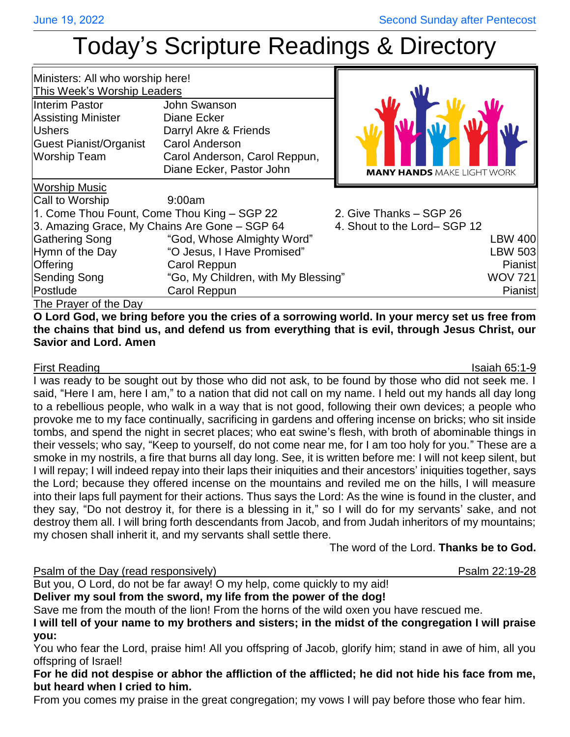# Today's Scripture Readings & Directory

| Ministers: All who worship here!<br>This Week's Worship Leaders |                                     |                                   |                |
|-----------------------------------------------------------------|-------------------------------------|-----------------------------------|----------------|
| Interim Pastor                                                  | John Swanson                        |                                   |                |
| <b>Assisting Minister</b>                                       | Diane Ecker                         |                                   |                |
| <b>Ushers</b>                                                   | Darryl Akre & Friends               |                                   |                |
| <b>Guest Pianist/Organist</b>                                   | Carol Anderson                      |                                   |                |
| Worship Team                                                    | Carol Anderson, Carol Reppun,       |                                   |                |
|                                                                 | Diane Ecker, Pastor John            | <b>MANY HANDS MAKE LIGHT WORK</b> |                |
| <b>Worship Music</b>                                            |                                     |                                   |                |
| Call to Worship                                                 | 9:00am                              |                                   |                |
| 1. Come Thou Fount, Come Thou King - SGP 22                     |                                     | 2. Give Thanks - SGP 26           |                |
| 3. Amazing Grace, My Chains Are Gone - SGP 64                   |                                     | 4. Shout to the Lord-SGP 12       |                |
| Gathering Song                                                  | "God, Whose Almighty Word"          |                                   | <b>LBW 400</b> |
| Hymn of the Day                                                 | "O Jesus, I Have Promised"          |                                   | <b>LBW 503</b> |
| <b>Offering</b>                                                 | Carol Reppun                        |                                   | Pianist        |
| <b>Sending Song</b>                                             | "Go, My Children, with My Blessing" |                                   | <b>WOV 721</b> |
| Postlude                                                        | Carol Reppun                        |                                   | Pianist        |
| The Prayer of the Day                                           |                                     |                                   |                |

**O Lord God, we bring before you the cries of a sorrowing world. In your mercy set us free from the chains that bind us, and defend us from everything that is evil, through Jesus Christ, our Savior and Lord. Amen**

First Reading Isaiah 65:1-9 I was ready to be sought out by those who did not ask, to be found by those who did not seek me. I said, "Here I am, here I am," to a nation that did not call on my name. I held out my hands all day long to a rebellious people, who walk in a way that is not good, following their own devices; a people who provoke me to my face continually, sacrificing in gardens and offering incense on bricks; who sit inside tombs, and spend the night in secret places; who eat swine's flesh, with broth of abominable things in their vessels; who say, "Keep to yourself, do not come near me, for I am too holy for you." These are a smoke in my nostrils, a fire that burns all day long. See, it is written before me: I will not keep silent, but I will repay; I will indeed repay into their laps their iniquities and their ancestors' iniquities together, says the Lord; because they offered incense on the mountains and reviled me on the hills, I will measure into their laps full payment for their actions. Thus says the Lord: As the wine is found in the cluster, and they say, "Do not destroy it, for there is a blessing in it," so I will do for my servants' sake, and not destroy them all. I will bring forth descendants from Jacob, and from Judah inheritors of my mountains; my chosen shall inherit it, and my servants shall settle there.

The word of the Lord. **Thanks be to God.**

## Psalm of the Day (read responsively) example and the Day (read responsively)

But you, O Lord, do not be far away! O my help, come quickly to my aid! **Deliver my soul from the sword, my life from the power of the dog!** 

Save me from the mouth of the lion! From the horns of the wild oxen you have rescued me.

**I will tell of your name to my brothers and sisters; in the midst of the congregation I will praise you:** 

You who fear the Lord, praise him! All you offspring of Jacob, glorify him; stand in awe of him, all you offspring of Israel!

**For he did not despise or abhor the affliction of the afflicted; he did not hide his face from me, but heard when I cried to him.** 

From you comes my praise in the great congregation; my vows I will pay before those who fear him.